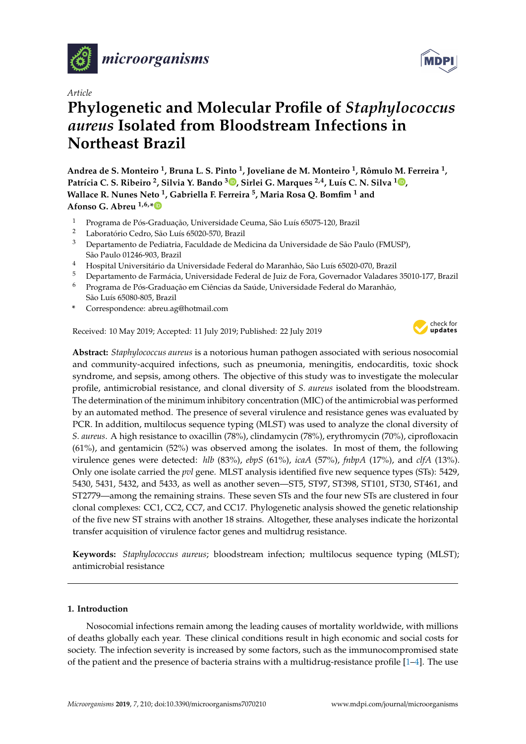

*Article*

# **Phylogenetic and Molecular Profile of** *Staphylococcus aureus* **Isolated from Bloodstream Infections in Northeast Brazil**

**Andrea de S. Monteiro <sup>1</sup> , Bruna L. S. Pinto <sup>1</sup> , Joveliane de M. Monteiro <sup>1</sup> , Rômulo M. Ferreira <sup>1</sup> , Patrícia C. S. Ribeiro <sup>2</sup> , Silvia Y. Bando <sup>3</sup> [,](https://orcid.org/0000-0003-3794-2440) Sirlei G. Marques 2,4, Luís C. N. Silva <sup>1</sup> [,](https://orcid.org/0000-0002-4206-0904) Wallace R. Nunes Neto <sup>1</sup> , Gabriella F. Ferreira <sup>5</sup> , Maria Rosa Q. Bomfim <sup>1</sup> and Afonso G. Abreu 1,6,[\\*](https://orcid.org/0000-0003-1665-0879)**

- 1 Programa de Pós-Graduação, Universidade Ceuma, São Luís 65075-120, Brazil<br>2 Dependício Cedra Cão Luís (5000 570 Brazil
- <sup>2</sup> Laboratório Cedro, São Luís 65020-570, Brazil
- $3$  Departamento de Pediatria, Faculdade de Medicina da Universidade de São Paulo (FMUSP), São Paulo 01246-903, Brazil
- <sup>4</sup> Hospital Universitário da Universidade Federal do Maranhão, São Luís 65020-070, Brazil
- <sup>5</sup> Departamento de Farmácia, Universidade Federal de Juiz de Fora, Governador Valadares 35010-177, Brazil
- <sup>6</sup> Programa de Pós-Graduação em Ciências da Saúde, Universidade Federal do Maranhão, São Luís 65080-805, Brazil
- **\*** Correspondence: abreu.ag@hotmail.com

Received: 10 May 2019; Accepted: 11 July 2019; Published: 22 July 2019



**Abstract:** *Staphylococcus aureus* is a notorious human pathogen associated with serious nosocomial and community-acquired infections, such as pneumonia, meningitis, endocarditis, toxic shock syndrome, and sepsis, among others. The objective of this study was to investigate the molecular profile, antimicrobial resistance, and clonal diversity of *S. aureus* isolated from the bloodstream. The determination of the minimum inhibitory concentration (MIC) of the antimicrobial was performed by an automated method. The presence of several virulence and resistance genes was evaluated by PCR. In addition, multilocus sequence typing (MLST) was used to analyze the clonal diversity of *S. aureus*. A high resistance to oxacillin (78%), clindamycin (78%), erythromycin (70%), ciprofloxacin (61%), and gentamicin (52%) was observed among the isolates. In most of them, the following virulence genes were detected: *hlb* (83%), *ebpS* (61%), *icaA* (57%), *fnbpA* (17%), and *clfA* (13%). Only one isolate carried the *pvl* gene. MLST analysis identified five new sequence types (STs): 5429, 5430, 5431, 5432, and 5433, as well as another seven—ST5, ST97, ST398, ST101, ST30, ST461, and ST2779—among the remaining strains. These seven STs and the four new STs are clustered in four clonal complexes: CC1, CC2, CC7, and CC17. Phylogenetic analysis showed the genetic relationship of the five new ST strains with another 18 strains. Altogether, these analyses indicate the horizontal transfer acquisition of virulence factor genes and multidrug resistance.

**Keywords:** *Staphylococcus aureus*; bloodstream infection; multilocus sequence typing (MLST); antimicrobial resistance

## **1. Introduction**

Nosocomial infections remain among the leading causes of mortality worldwide, with millions of deaths globally each year. These clinical conditions result in high economic and social costs for society. The infection severity is increased by some factors, such as the immunocompromised state of the patient and the presence of bacteria strains with a multidrug-resistance profile  $[1-4]$  $[1-4]$ . The use

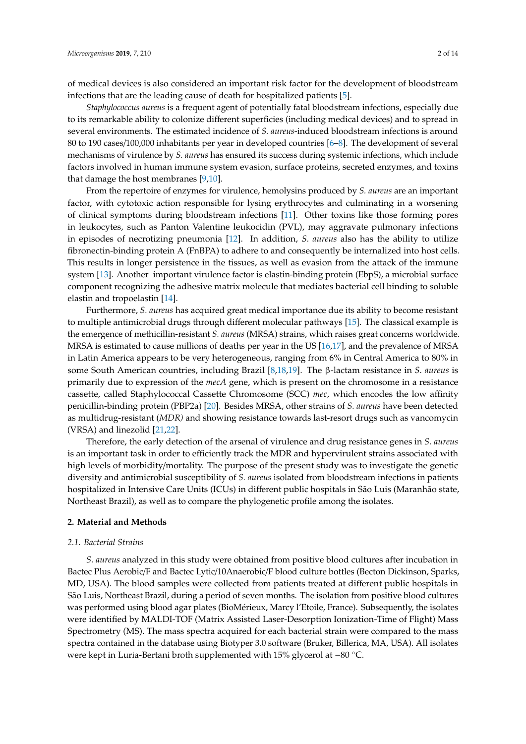of medical devices is also considered an important risk factor for the development of bloodstream infections that are the leading cause of death for hospitalized patients [\[5\]](#page-9-1).

*Staphylococcus aureus* is a frequent agent of potentially fatal bloodstream infections, especially due to its remarkable ability to colonize different superficies (including medical devices) and to spread in several environments. The estimated incidence of *S. aureus*-induced bloodstream infections is around 80 to 190 cases/100,000 inhabitants per year in developed countries [\[6](#page-9-2)[–8\]](#page-9-3). The development of several mechanisms of virulence by *S. aureus* has ensured its success during systemic infections, which include factors involved in human immune system evasion, surface proteins, secreted enzymes, and toxins that damage the host membranes [\[9](#page-9-4)[,10\]](#page-9-5).

From the repertoire of enzymes for virulence, hemolysins produced by *S. aureus* are an important factor, with cytotoxic action responsible for lysing erythrocytes and culminating in a worsening of clinical symptoms during bloodstream infections [\[11\]](#page-9-6). Other toxins like those forming pores in leukocytes, such as Panton Valentine leukocidin (PVL), may aggravate pulmonary infections in episodes of necrotizing pneumonia [\[12\]](#page-9-7). In addition, *S. aureus* also has the ability to utilize fibronectin-binding protein A (FnBPA) to adhere to and consequently be internalized into host cells. This results in longer persistence in the tissues, as well as evasion from the attack of the immune system [\[13\]](#page-9-8). Another important virulence factor is elastin-binding protein (EbpS), a microbial surface component recognizing the adhesive matrix molecule that mediates bacterial cell binding to soluble elastin and tropoelastin [\[14\]](#page-9-9).

Furthermore, *S. aureus* has acquired great medical importance due its ability to become resistant to multiple antimicrobial drugs through different molecular pathways [\[15\]](#page-9-10). The classical example is the emergence of methicillin-resistant *S. aureus* (MRSA) strains, which raises great concerns worldwide. MRSA is estimated to cause millions of deaths per year in the US [\[16](#page-9-11)[,17\]](#page-9-12), and the prevalence of MRSA in Latin America appears to be very heterogeneous, ranging from 6% in Central America to 80% in some South American countries, including Brazil [\[8](#page-9-3)[,18](#page-9-13)[,19\]](#page-9-14). The β-lactam resistance in *S. aureus* is primarily due to expression of the *mecA* gene, which is present on the chromosome in a resistance cassette, called Staphylococcal Cassette Chromosome (SCC) *mec*, which encodes the low affinity penicillin-binding protein (PBP2a) [\[20\]](#page-9-15). Besides MRSA, other strains of *S. aureus* have been detected as multidrug-resistant (*MDR)* and showing resistance towards last-resort drugs such as vancomycin (VRSA) and linezolid [\[21](#page-10-0)[,22\]](#page-10-1).

Therefore, the early detection of the arsenal of virulence and drug resistance genes in *S. aureus* is an important task in order to efficiently track the MDR and hypervirulent strains associated with high levels of morbidity/mortality. The purpose of the present study was to investigate the genetic diversity and antimicrobial susceptibility of *S. aureus* isolated from bloodstream infections in patients hospitalized in Intensive Care Units (ICUs) in different public hospitals in São Luis (Maranhão state, Northeast Brazil), as well as to compare the phylogenetic profile among the isolates.

# **2. Material and Methods**

#### *2.1. Bacterial Strains*

*S. aureus* analyzed in this study were obtained from positive blood cultures after incubation in Bactec Plus Aerobic/F and Bactec Lytic/10Anaerobic/F blood culture bottles (Becton Dickinson, Sparks, MD, USA). The blood samples were collected from patients treated at different public hospitals in São Luis, Northeast Brazil, during a period of seven months. The isolation from positive blood cultures was performed using blood agar plates (BioMérieux, Marcy l'Etoile, France). Subsequently, the isolates were identified by MALDI-TOF (Matrix Assisted Laser-Desorption Ionization-Time of Flight) Mass Spectrometry (MS). The mass spectra acquired for each bacterial strain were compared to the mass spectra contained in the database using Biotyper 3.0 software (Bruker, Billerica, MA, USA). All isolates were kept in Luria-Bertani broth supplemented with 15% glycerol at −80 ◦C.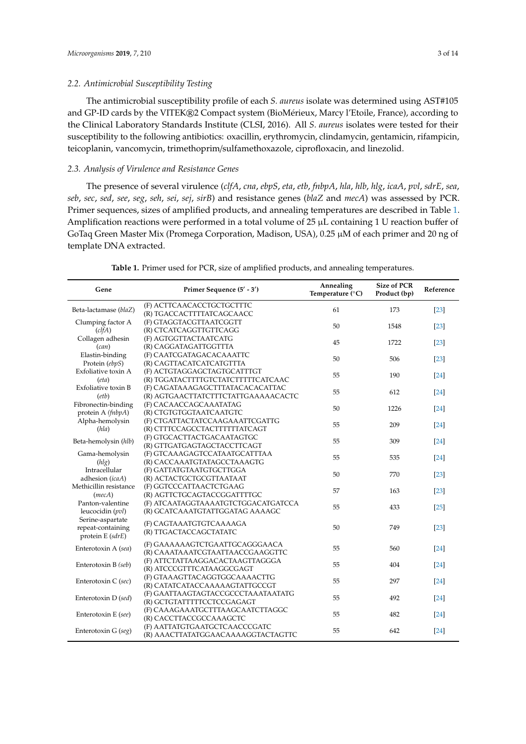The antimicrobial susceptibility profile of each *S. aureus* isolate was determined using AST#105 and GP-ID cards by the VITEK®2 Compact system (BioMérieux, Marcy l'Etoile, France), according to the Clinical Laboratory Standards Institute (CLSI, 2016). All *S. aureus* isolates were tested for their susceptibility to the following antibiotics: oxacillin, erythromycin, clindamycin, gentamicin, rifampicin, teicoplanin, vancomycin, trimethoprim/sulfamethoxazole, ciprofloxacin, and linezolid.

# *2.3. Analysis of Virulence and Resistance Genes*

The presence of several virulence (*clfA*, *cna*, *ebpS*, *eta*, *etb*, *fnbpA*, *hla*, *hlb*, *hlg*, *icaA*, *pvl*, *sdrE*, *sea*, *seb*, *sec*, *sed*, *see*, *seg*, *seh*, *sei*, *sej*, *sirB*) and resistance genes (*blaZ* and *mecA*) was assessed by PCR. Primer sequences, sizes of amplified products, and annealing temperatures are described in Table [1.](#page-3-0) Amplification reactions were performed in a total volume of 25 µL containing 1 U reaction buffer of GoTaq Green Master Mix (Promega Corporation, Madison, USA), 0.25 µM of each primer and 20 ng of template DNA extracted.

| Gene                   | Primer Sequence (5' - 3')                              | Annealing<br>Temperature (°C) | <b>Size of PCR</b><br>Product (bp) | Reference         |  |
|------------------------|--------------------------------------------------------|-------------------------------|------------------------------------|-------------------|--|
| Beta-lactamase (blaZ)  | (F) ACTTCAACACCTGCTGCTTTC<br>(R) TGACCACTTTTATCAGCAACC | 61                            | 173                                | $[23]$            |  |
| Clumping factor A      | (F) GTAGGTACGTTAATCGGTT                                | 50                            | 1548                               | $\left[23\right]$ |  |
| (clfA)                 | (R) CTCATCAGGTTGTTCAGG                                 |                               |                                    |                   |  |
| Collagen adhesin       | (F) AGTGGTTACTAATCATG                                  | 45                            | 1722                               | $\left[23\right]$ |  |
| (can)                  | (R) CAGGATAGATTGGTTTA                                  |                               |                                    |                   |  |
| Elastin-binding        | (F) CAATCGATAGACACAAATTC                               | 50                            | 506                                | $\left[23\right]$ |  |
| Protein (ebpS)         | (R) CAGTTACATCATCATGTTTA                               |                               |                                    |                   |  |
| Exfoliative toxin A    | (F) ACTGTAGGAGCTAGTGCATTTGT                            | 55                            | 190                                | $[24]$            |  |
| (eta)                  | (R) TGGATACTTTTGTCTATCTTTTTCATCAAC                     |                               |                                    |                   |  |
| Exfoliative toxin B    | (F) CAGATAAAGAGCTTTATACACACATTAC                       | 55                            | 612                                | [24]              |  |
| (etb)                  | (R) AGTGAACTTATCTTTCTATTGAAAAACACTC                    |                               |                                    |                   |  |
| Fibronectin-binding    | (F) CACAACCAGCAAATATAG                                 | 50                            | 1226                               | $[24]$            |  |
| protein A (fnbpA)      | (R) CTGTGTGGTAATCAATGTC                                |                               |                                    |                   |  |
| Alpha-hemolysin        | (F) CTGATTACTATCCAAGAAATTCGATTG                        | 55                            | 209                                | $[24]$            |  |
| (hla)                  | (R) CTTTCCAGCCTACTTTTTTATCAGT                          |                               |                                    |                   |  |
| Beta-hemolysin (hlb)   | (F) GTGCACTTACTGACAATAGTGC                             | 55                            | 309                                | $[24]$            |  |
|                        | (R) GTTGATGAGTAGCTACCTTCAGT                            |                               |                                    |                   |  |
| Gama-hemolysin         | (F) GTCAAAGAGTCCATAATGCATTTAA                          | 55                            | 535                                | $[24]$            |  |
| (hlg)                  | (R) CACCAAATGTATAGCCTAAAGTG                            |                               |                                    |                   |  |
| Intracellular          | (F) GATTATGTAATGTGCTTGGA                               | 50                            | 770                                | $[23]$            |  |
| adhesion (icaA)        | (R) ACTACTGCTGCGTTAATAAT                               |                               |                                    |                   |  |
| Methicillin resistance | (F) GGTCCCATTAACTCTGAAG                                | 57                            | 163                                | $[23]$            |  |
| (mecA)                 | (R) AGTTCTGCAGTACCGGATTTTGC                            |                               |                                    |                   |  |
| Panton-valentine       | (F) ATCAATAGGTAAAATGTCTGGACATGATCCA                    | 55                            | 433                                | $[25]$            |  |
| leucocidin (pvl)       | (R) GCATCAAATGTATTGGATAG AAAAGC                        |                               |                                    |                   |  |
| Serine-aspartate       | (F) CAGTAAATGTGTCAAAAGA                                |                               |                                    |                   |  |
| repeat-containing      | (R) TTGACTACCAGCTATATC                                 | 50                            | 749                                | $\left[23\right]$ |  |
| protein E (sdrE)       |                                                        |                               |                                    |                   |  |
| Enterotoxin A (sea)    | (F) GAAAAAAGTCTGAATTGCAGGGAACA                         | 55                            | 560                                | $[24]$            |  |
|                        | (R) CAAATAAATCGTAATTAACCGAAGGTTC                       |                               |                                    |                   |  |
| Enterotoxin B (seb)    | (F) ATTCTATTAAGGACACTAAGTTAGGGA                        | 55                            | 404                                | $[24]$            |  |
|                        | (R) ATCCCGTTTCATAAGGCGAGT                              |                               |                                    |                   |  |
| Enterotoxin C (sec)    | (F) GTAAAGTTACAGGTGGCAAAACTTG                          | 55                            | 297                                | $[24]$            |  |
|                        | (R) CATATCATACCAAAAAGTATTGCCGT                         |                               |                                    |                   |  |
| Enterotoxin D (sed)    | (F) GAATTAAGTAGTACCGCCCTAAATAATATG                     | 55                            | 492                                | $\left[24\right]$ |  |
|                        | (R) GCTGTATTTTTCCTCCGAGAGT                             |                               |                                    |                   |  |
| Enterotoxin E (see)    | (F) CAAAGAAATGCTTTAAGCAATCTTAGGC                       | 55                            | 482                                | $[24]$            |  |
|                        | (R) CACCTTACCGCCAAAGCTC                                |                               |                                    |                   |  |
| Enterotoxin G (seg)    | (F) AATTATGTGAATGCTCAACCCGATC                          | 55                            | 642                                | $[24]$            |  |
|                        | (R) AAACTTATATGGAACAAAAGGTACTAGTTC                     |                               |                                    |                   |  |

**Table 1.** Primer used for PCR, size of amplified products, and annealing temperatures.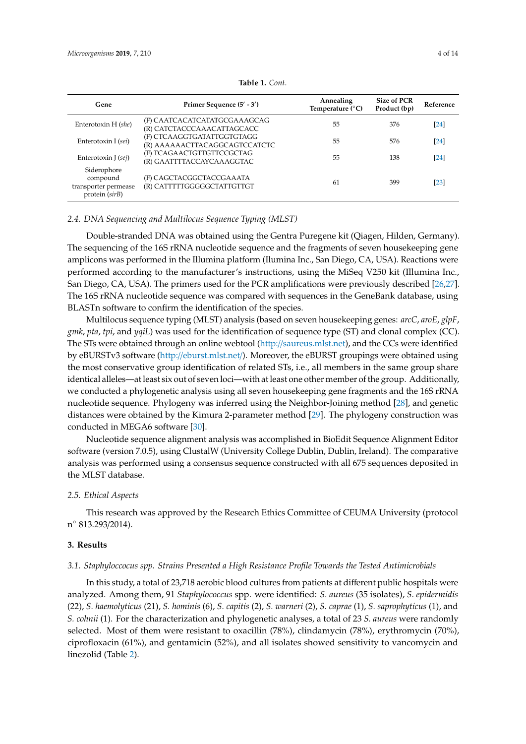<span id="page-3-0"></span>

| Gene                                                              | Primer Sequence $(5' - 3')$                                 | Annealing<br>Temperature $(^{\circ}C)$ | Size of PCR<br>Product (bp) | Reference         |  |  |
|-------------------------------------------------------------------|-------------------------------------------------------------|----------------------------------------|-----------------------------|-------------------|--|--|
| Enterotoxin H (she)                                               | (F) CAATCACATCATATGCGAAAGCAG<br>(R) CATCTACCCAAACATTAGCACC  | 55                                     | 376                         | $\left[24\right]$ |  |  |
| Enterotoxin I (sei)                                               | (F) CTCAAGGTGATATTGGTGTAGG<br>(R) AAAAAACTTACAGGCAGTCCATCTC | 55                                     | 576                         | $[24]$            |  |  |
| Enterotoxin J $(sej)$                                             | (F) TCAGAACTGTTGTTCCGCTAG<br>(R) GAATTTTACCAYCAAAGGTAC      | 55                                     | 138                         | 24                |  |  |
| Siderophore<br>compound<br>transporter permease<br>protein (sirB) | (F) CAGCTACGGCTACCGAAATA<br>(R) CATTTTTGGGGGCTATTGTTGT      | 61                                     | 399                         | $\left[23\right]$ |  |  |

**Table 1.** *Cont.*

#### *2.4. DNA Sequencing and Multilocus Sequence Typing (MLST)*

Double-stranded DNA was obtained using the Gentra Puregene kit (Qiagen, Hilden, Germany). The sequencing of the 16S rRNA nucleotide sequence and the fragments of seven housekeeping gene amplicons was performed in the Illumina platform (Ilumina Inc., San Diego, CA, USA). Reactions were performed according to the manufacturer's instructions, using the MiSeq V250 kit (Illumina Inc., San Diego, CA, USA). The primers used for the PCR amplifications were previously described [\[26](#page-10-5)[,27\]](#page-10-6). The 16S rRNA nucleotide sequence was compared with sequences in the GeneBank database, using BLASTn software to confirm the identification of the species.

Multilocus sequence typing (MLST) analysis (based on seven housekeeping genes: *arcC*, *aroE*, *glpF*, *gmk*, *pta*, *tpi*, and *yqiL*) was used for the identification of sequence type (ST) and clonal complex (CC). The STs were obtained through an online webtool (http://[saureus.mlst.net\)](http://saureus.mlst.net), and the CCs were identified by eBURSTv3 software (http://[eburst.mlst.net](http://eburst.mlst.net/)/). Moreover, the eBURST groupings were obtained using the most conservative group identification of related STs, i.e., all members in the same group share identical alleles—at least six out of seven loci—with at least one other member of the group. Additionally, we conducted a phylogenetic analysis using all seven housekeeping gene fragments and the 16S rRNA nucleotide sequence. Phylogeny was inferred using the Neighbor-Joining method [\[28\]](#page-10-7), and genetic distances were obtained by the Kimura 2-parameter method [\[29\]](#page-10-8). The phylogeny construction was conducted in MEGA6 software [\[30\]](#page-10-9).

Nucleotide sequence alignment analysis was accomplished in BioEdit Sequence Alignment Editor software (version 7.0.5), using ClustalW (University College Dublin, Dublin, Ireland). The comparative analysis was performed using a consensus sequence constructed with all 675 sequences deposited in the MLST database.

## *2.5. Ethical Aspects*

This research was approved by the Research Ethics Committee of CEUMA University (protocol n ◦ 813.293/2014).

## **3. Results**

# *3.1. Staphyloccocus spp. Strains Presented a High Resistance Profile Towards the Tested Antimicrobials*

In this study, a total of 23,718 aerobic blood cultures from patients at different public hospitals were analyzed. Among them, 91 *Staphylococcus* spp. were identified: *S. aureus* (35 isolates), *S. epidermidis* (22), *S. haemolyticus* (21), *S. hominis* (6), *S. capitis* (2), *S. warneri* (2), *S. caprae* (1), *S. saprophyticus* (1), and *S. cohnii* (1). For the characterization and phylogenetic analyses, a total of 23 *S. aureus* were randomly selected. Most of them were resistant to oxacillin (78%), clindamycin (78%), erythromycin (70%), ciprofloxacin (61%), and gentamicin (52%), and all isolates showed sensitivity to vancomycin and linezolid (Table [2\)](#page-4-0).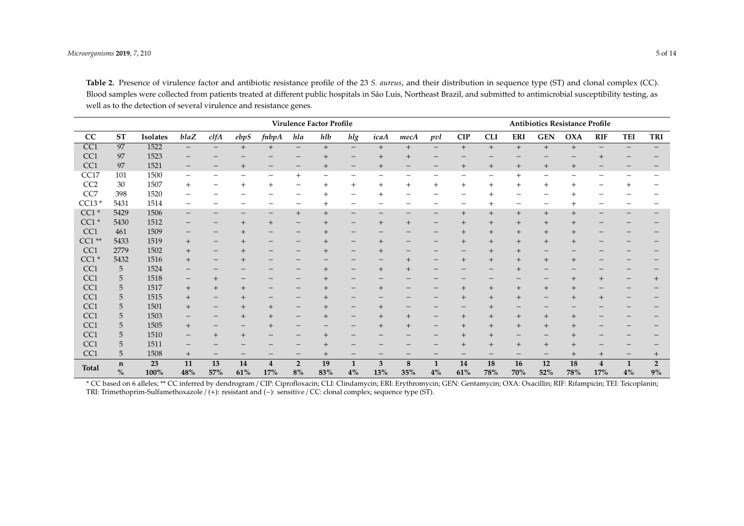|                 | Virulence Factor Profile |            |           |                              |                |                          |                          |                          |                          | Antibiotics Resistance Profile |                          |                    |           |            |           |            |                |                       |                    |                      |
|-----------------|--------------------------|------------|-----------|------------------------------|----------------|--------------------------|--------------------------|--------------------------|--------------------------|--------------------------------|--------------------------|--------------------|-----------|------------|-----------|------------|----------------|-----------------------|--------------------|----------------------|
| CC              | <b>ST</b>                | Isolates   | blaZ      | clfA                         | ebps           | fnbpA                    | hla                      | hlb                      | hlg                      | icaA                           | mecA                     | pvl                | CIP       | <b>CLI</b> | ERI       | <b>GEN</b> | <b>OXA</b>     | <b>RIF</b>            | TEI                | TRI                  |
| CC <sub>1</sub> | 97                       | 1522       | $-$       |                              | $+$            | $+$                      | $\overline{\phantom{m}}$ | $+$                      | $\qquad \qquad -$        | $^{+}$                         | $+$                      | $\qquad \qquad -$  | $+$       | $^{+}$     | $+$       | $+$        | $+$            | $\qquad \qquad -$     |                    |                      |
| CC1             | 97                       | 1523       |           |                              |                |                          |                          | $+$                      |                          | $^{+}$                         | $^{+}$                   |                    |           |            |           |            |                |                       |                    |                      |
| CC <sub>1</sub> | 97                       | 1521       | -         |                              | $^{+}$         | $\qquad \qquad -$        | $\qquad \qquad -$        | $^{+}$                   | $\qquad \qquad -$        | $^{+}$                         | -                        | -                  | $^{+}$    | $^{+}$     | $^{+}$    | $^{+}$     | $^{+}$         |                       |                    |                      |
| CC17            | 101                      | 1500       | —         |                              |                | $\overline{\phantom{0}}$ | $\ddot{}$                | $\overline{\phantom{0}}$ |                          | -                              |                          |                    |           |            |           |            |                |                       |                    |                      |
| CC <sub>2</sub> | 30                       | 1507       | $^{+}$    |                              | $^{+}$         | $+$                      |                          | $+$                      | $+$                      | $+$                            | $^{+}$                   | $^{+}$             | $^{+}$    | $^{+}$     | $+$       | $+$        |                |                       | $+$                |                      |
| CC7             | 398                      | 1520       | -         |                              |                |                          |                          |                          | $\overline{\phantom{0}}$ | $\mathrm{+}$                   |                          |                    |           |            | -         |            |                |                       |                    |                      |
| $CC13*$         | 5431                     | 1514       | —         |                              |                |                          | $\overline{\phantom{m}}$ | $^{+}$                   | $\overline{\phantom{0}}$ | -                              |                          |                    | -         | $^{+}$     | -         | -          |                | -                     |                    |                      |
| $CC1*$          | 5429                     | 1506       | -         |                              |                | $\qquad \qquad -$        | $^{+}$                   | $^{+}$                   | -                        | -                              |                          |                    | $^{+}$    | $^{+}$     | $^{+}$    | $+$        | $\overline{+}$ |                       |                    |                      |
| $CC1*$          | 5430                     | 1512       | -         |                              |                | $^{+}$                   |                          | $^{+}$                   | -                        | $^{+}$                         | $^{+}$                   |                    | $^{+}$    | $\,{}^+$   | $^{+}$    |            |                |                       |                    |                      |
| CC1             | 461                      | 1509       | -         |                              | $\overline{+}$ |                          | $\qquad \qquad -$        | $^{+}$                   |                          |                                |                          |                    | $^{+}$    | $^{+}$     | $^{+}$    | $^{+}$     |                |                       |                    |                      |
| $CC1**$         | 5433                     | 1519       | $^{+}$    |                              | $\overline{+}$ |                          |                          | $^{+}$                   | -                        | $^{+}$                         |                          |                    | $^{+}$    | $\,{}^+$   | $^{+}$    | $^{+}$     |                |                       |                    |                      |
| CC <sub>1</sub> | 2779                     | 1502       | $^{+}$    |                              | $^{+}$         |                          |                          | $^{+}$                   |                          | $^{+}$                         |                          |                    |           | $^+$       | $^+$      |            |                |                       |                    |                      |
| $CC1*$          | 5432                     | 1516       | $^{+}$    | $\qquad \qquad -$            |                |                          |                          |                          |                          | -                              | $^{+}$                   |                    | $^{+}$    | $^{+}$     | $^{+}$    | $^{+}$     | $\overline{+}$ |                       |                    |                      |
| CC1             | 5                        | 1524       | -         |                              |                |                          |                          | $+$                      | -                        | $^{+}$                         | $\boldsymbol{+}$         |                    |           |            |           |            |                |                       |                    |                      |
| CC1             | 5                        | 1518       | -         | $^{+}$                       |                |                          |                          | $^{+}$                   |                          |                                |                          |                    |           |            |           |            |                | $+$                   |                    | $^{+}$               |
| CC1             | 5                        | 1517       | $^{+}$    | $^{+}$                       | $^{+}$         |                          | -                        | $+$                      | -                        | $^{+}$                         |                          |                    | $^{+}$    | $^{+}$     | $^{+}$    | $^{+}$     |                |                       |                    |                      |
| CC1             | 5                        | 1515       | $^{+}$    | $\qquad \qquad -$            | $^{+}$         |                          |                          | $+$                      |                          |                                |                          |                    | $^{+}$    | $\,{}^+$   | $^{+}$    |            |                | $^{+}$                |                    |                      |
| CC1             | 5                        | 1501       | $+$       | $\qquad \qquad -$            | $^{+}$         | $+$                      | $\qquad \qquad -$        | $^{+}$                   | $\qquad \qquad -$        | $^{+}$                         | $\overline{\phantom{m}}$ |                    |           |            | -         |            |                |                       |                    |                      |
| CC1             | 5                        | 1503       | -         |                              | $^{+}$         | $^{+}$                   |                          | $^{+}$                   |                          | $^{+}$                         | $^{+}$                   |                    | $^{+}$    | $^{+}$     | $^{+}$    | $^{+}$     | $\overline{+}$ |                       |                    |                      |
| CC1             | 5                        | 1505       | $^{+}$    | $\qquad \qquad \blacksquare$ |                | $^{+}$                   | $\overline{\phantom{0}}$ |                          | -                        | $^{+}$                         |                          | $\qquad \qquad$    | $^{+}$    | $^{+}$     | $^{+}$    | $^{+}$     |                |                       |                    |                      |
| CC1             | 5                        | 1510       | -         | $+$                          | $^{+}$         |                          |                          | $+$                      |                          |                                |                          |                    | $^{+}$    | $^{+}$     |           |            |                |                       |                    |                      |
| CC1             | 5                        | 1511       | -         |                              |                |                          |                          | $\pm$                    |                          |                                |                          |                    | $^{+}$    | $\,{}^+$   | $^{+}$    | $+$        |                |                       |                    |                      |
| CC1             | 5                        | 1508       | $^{+}$    |                              |                |                          |                          | $^{+}$                   |                          |                                |                          |                    |           |            |           |            |                | $^{+}$                |                    | $^{+}$               |
| <b>Total</b>    | n<br>$\%$                | 23<br>100% | 11<br>48% | 13<br>57%                    | 14<br>61%      | $\overline{4}$<br>17%    | $\overline{2}$<br>8%     | 19<br>83%                | $\mathbf{1}$<br>4%       | 3<br>13%                       | 8<br>35%                 | $\mathbf{1}$<br>4% | 14<br>61% | 18<br>78%  | 16<br>70% | 12<br>52%  | 18<br>78%      | $\overline{4}$<br>17% | $\mathbf{1}$<br>4% | $\overline{2}$<br>9% |

**Table 2.** Presence of virulence factor and antibiotic resistance profile of the 23 *S. aureus*, and their distribution in sequence type (ST) and clonal complex (CC). Blood samples were collected from patients treated at different public hospitals in São Luis, Northeast Brazil, and submitted to antimicrobial susceptibility testing, as well as to the detection of several virulence and resistance genes.

<span id="page-4-0"></span>\* CC based on 6 alleles; \*\* CC inferred by dendrogram / CIP: Ciprofloxacin; CLI: Clindamycin; ERI: Erythromycin; GEN: Gentamycin; OXA: Oxacillin; RIF: Rifampicin; TEI: Teicoplanin; TRI: Trimethoprim-Sulfamethoxazole / (+): resistant and (−): sensitive / CC: clonal complex; sequence type (ST).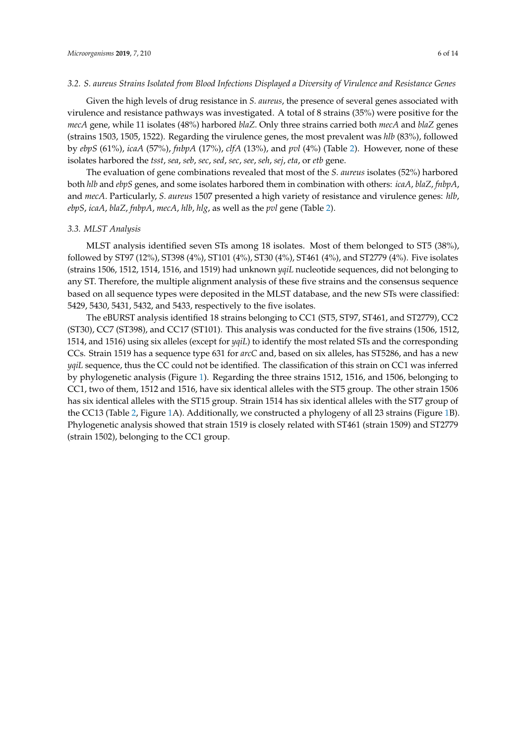Given the high levels of drug resistance in *S. aureus*, the presence of several genes associated with virulence and resistance pathways was investigated. A total of 8 strains (35%) were positive for the *mecA* gene, while 11 isolates (48%) harbored *blaZ*. Only three strains carried both *mecA* and *blaZ* genes (strains 1503, 1505, 1522). Regarding the virulence genes, the most prevalent was *hlb* (83%), followed by *ebpS* (61%), *icaA* (57%), *fnbpA* (17%), *clfA* (13%), and *pvl* (4%) (Table [2\)](#page-4-0). However, none of these isolates harbored the *tsst*, *sea*, *seb*, *sec*, *sed*, *sec*, *see*, *seh*, *sej*, *eta*, or *etb* gene.

The evaluation of gene combinations revealed that most of the *S. aureus* isolates (52%) harbored both *hlb* and *ebpS* genes, and some isolates harbored them in combination with others: *icaA*, *blaZ*, *fnbpA*, and *mecA*. Particularly, *S. aureus* 1507 presented a high variety of resistance and virulence genes: *hlb*, *ebpS*, *icaA*, *blaZ*, *fnbpA*, *mecA*, *hlb*, *hlg*, as well as the *pvl* gene (Table [2\)](#page-4-0).

## *3.3. MLST Analysis*

MLST analysis identified seven STs among 18 isolates. Most of them belonged to ST5 (38%), followed by ST97 (12%), ST398 (4%), ST101 (4%), ST30 (4%), ST461 (4%), and ST2779 (4%). Five isolates (strains 1506, 1512, 1514, 1516, and 1519) had unknown *yqiL* nucleotide sequences, did not belonging to any ST. Therefore, the multiple alignment analysis of these five strains and the consensus sequence based on all sequence types were deposited in the MLST database, and the new STs were classified: 5429, 5430, 5431, 5432, and 5433, respectively to the five isolates.

The eBURST analysis identified 18 strains belonging to CC1 (ST5, ST97, ST461, and ST2779), CC2 (ST30), CC7 (ST398), and CC17 (ST101). This analysis was conducted for the five strains (1506, 1512, 1514, and 1516) using six alleles (except for *yqiL*) to identify the most related STs and the corresponding CCs. Strain 1519 has a sequence type 631 for *arcC* and, based on six alleles, has ST5286, and has a new *yqiL* sequence, thus the CC could not be identified. The classification of this strain on CC1 was inferred by phylogenetic analysis (Figure [1\)](#page-6-0). Regarding the three strains 1512, 1516, and 1506, belonging to CC1, two of them, 1512 and 1516, have six identical alleles with the ST5 group. The other strain 1506 has six identical alleles with the ST15 group. Strain 1514 has six identical alleles with the ST7 group of the CC13 (Table [2,](#page-4-0) Figure [1A](#page-6-0)). Additionally, we constructed a phylogeny of all 23 strains (Figure [1B](#page-6-0)). Phylogenetic analysis showed that strain 1519 is closely related with ST461 (strain 1509) and ST2779 (strain 1502), belonging to the CC1 group.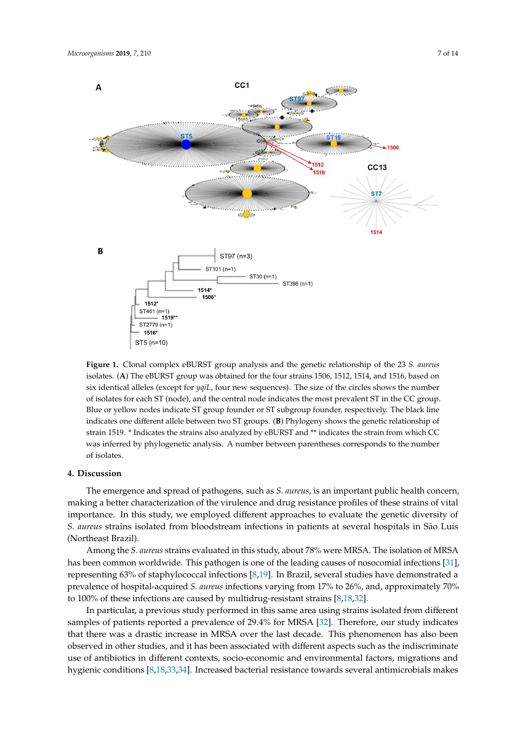<span id="page-6-0"></span>

Figure 1. Clonal complex eBURST group analysis and the generic relationship of the 23 S. au isolates. (A) The eBURST group was obtained for the four strains 1506, 1512, 1514, and 1516, based on isolates. (**A**) The eBURST group was obtained for the four strains 1506, 1512, 1514, and 1516, based on six identical alleles (except for *yqiL,* four new sequences). The size of the circles shows the number of isolates for each ST (node), and the central node indicates the most prevalent ST in the CC group. Blue or yellow nodes indicate ST group founder or ST subgroup founder, respectively. The black line indicates one different allele between two ST groups. (B) Phylogeny shows the genetic relationship of indicates one different allele between two ST groups. (**B**) Phylogeny shows the genetic relationship of **Figure 1.** Clonal complex eBURST group analysis and the genetic relationship of the 23 *S. aureus* strain 1519. \* Indicates the strains also analyzed by eBURST and \*\* indicates the strain from which CC was inferred by phylogenetic analysis. A number between parentheses corresponds to the number of isolates.

# **4. Discussion**

The emergence and spread of pathogens, such as *S. aureus*, is an important public health concern, making a better characterization of the virulence and drug resistance profiles of these strains of vital importance. In this study, we employed different approaches to evaluate the genetic diversity of *S. aureus* strains isolated from bloodstream infections in patients at several hospitals in São Luís (Northeast Brazil).

Among the *S. aureus* strains evaluated in this study, about 78% were MRSA. The isolation of MRSA has been common worldwide. This pathogen is one of the leading causes of nosocomial infections [\[31\]](#page-10-10), representing 63% of staphylococcal infections [\[8](#page-9-3)[,19\]](#page-9-14). In Brazil, several studies have demonstrated a prevalence of hospital-acquired *S. aureus* infections varying from 17% to 26%, and, approximately 70% to 100% of these infections are caused by multidrug-resistant strains [\[8](#page-9-3)[,18](#page-9-13)[,32\]](#page-10-11).

In particular, a previous study performed in this same area using strains isolated from different samples of patients reported a prevalence of 29.4% for MRSA [\[32\]](#page-10-11). Therefore, our study indicates that there was a drastic increase in MRSA over the last decade. This phenomenon has also been observed in other studies, and it has been associated with different aspects such as the indiscriminate use of antibiotics in different contexts, socio-economic and environmental factors, migrations and hygienic conditions [\[8,](#page-9-3)[18,](#page-9-13)[33,](#page-10-12)[34\]](#page-10-13). Increased bacterial resistance towards several antimicrobials makes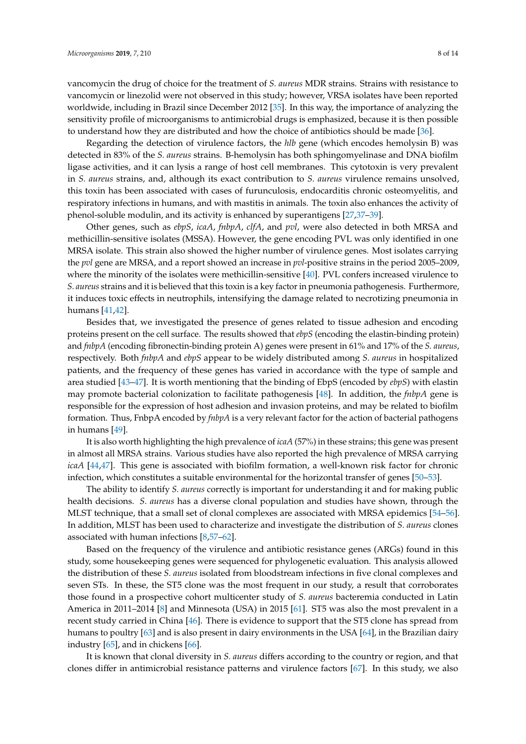vancomycin the drug of choice for the treatment of *S. aureus* MDR strains. Strains with resistance to vancomycin or linezolid were not observed in this study; however, VRSA isolates have been reported worldwide, including in Brazil since December 2012 [\[35\]](#page-10-14). In this way, the importance of analyzing the sensitivity profile of microorganisms to antimicrobial drugs is emphasized, because it is then possible to understand how they are distributed and how the choice of antibiotics should be made [\[36\]](#page-10-15).

Regarding the detection of virulence factors, the *hlb* gene (which encodes hemolysin B) was detected in 83% of the *S. aureus* strains. B-hemolysin has both sphingomyelinase and DNA biofilm ligase activities, and it can lysis a range of host cell membranes. This cytotoxin is very prevalent in *S. aureus* strains, and, although its exact contribution to *S. aureus* virulence remains unsolved, this toxin has been associated with cases of furunculosis, endocarditis chronic osteomyelitis, and respiratory infections in humans, and with mastitis in animals. The toxin also enhances the activity of phenol-soluble modulin, and its activity is enhanced by superantigens [\[27](#page-10-6)[,37](#page-10-16)[–39\]](#page-10-17).

Other genes, such as *ebpS*, *icaA*, *fnbpA*, *clfA*, and *pvl*, were also detected in both MRSA and methicillin-sensitive isolates (MSSA). However, the gene encoding PVL was only identified in one MRSA isolate. This strain also showed the higher number of virulence genes. Most isolates carrying the *pvl* gene are MRSA, and a report showed an increase in *pvl*-positive strains in the period 2005–2009, where the minority of the isolates were methicillin-sensitive [\[40\]](#page-11-0). PVL confers increased virulence to *S. aureus* strains and it is believed that this toxin is a key factor in pneumonia pathogenesis. Furthermore, it induces toxic effects in neutrophils, intensifying the damage related to necrotizing pneumonia in humans [\[41](#page-11-1)[,42\]](#page-11-2).

Besides that, we investigated the presence of genes related to tissue adhesion and encoding proteins present on the cell surface. The results showed that *ebpS* (encoding the elastin-binding protein) and *fnbpA* (encoding fibronectin-binding protein A) genes were present in 61% and 17% of the *S. aureus*, respectively. Both *fnbpA* and *ebpS* appear to be widely distributed among *S. aureus* in hospitalized patients, and the frequency of these genes has varied in accordance with the type of sample and area studied [\[43](#page-11-3)[–47\]](#page-11-4). It is worth mentioning that the binding of EbpS (encoded by *ebpS*) with elastin may promote bacterial colonization to facilitate pathogenesis [\[48\]](#page-11-5). In addition, the *fnbpA* gene is responsible for the expression of host adhesion and invasion proteins, and may be related to biofilm formation. Thus, FnbpA encoded by *fnbpA* is a very relevant factor for the action of bacterial pathogens in humans [\[49\]](#page-11-6).

It is also worth highlighting the high prevalence of *icaA* (57%) in these strains; this gene was present in almost all MRSA strains. Various studies have also reported the high prevalence of MRSA carrying *icaA* [\[44,](#page-11-7)[47\]](#page-11-4). This gene is associated with biofilm formation, a well-known risk factor for chronic infection, which constitutes a suitable environmental for the horizontal transfer of genes [\[50–](#page-11-8)[53\]](#page-11-9).

The ability to identify *S. aureus* correctly is important for understanding it and for making public health decisions. *S. aureus* has a diverse clonal population and studies have shown, through the MLST technique, that a small set of clonal complexes are associated with MRSA epidemics [\[54–](#page-11-10)[56\]](#page-11-11). In addition, MLST has been used to characterize and investigate the distribution of *S. aureus* clones associated with human infections [\[8,](#page-9-3)[57–](#page-11-12)[62\]](#page-12-0).

Based on the frequency of the virulence and antibiotic resistance genes (ARGs) found in this study, some housekeeping genes were sequenced for phylogenetic evaluation. This analysis allowed the distribution of these *S. aureus* isolated from bloodstream infections in five clonal complexes and seven STs. In these, the ST5 clone was the most frequent in our study, a result that corroborates those found in a prospective cohort multicenter study of *S. aureus* bacteremia conducted in Latin America in 2011–2014 [\[8\]](#page-9-3) and Minnesota (USA) in 2015 [\[61\]](#page-12-1). ST5 was also the most prevalent in a recent study carried in China [\[46\]](#page-11-13). There is evidence to support that the ST5 clone has spread from humans to poultry [\[63\]](#page-12-2) and is also present in dairy environments in the USA [\[64\]](#page-12-3), in the Brazilian dairy industry [\[65\]](#page-12-4), and in chickens [\[66\]](#page-12-5).

It is known that clonal diversity in *S. aureus* differs according to the country or region, and that clones differ in antimicrobial resistance patterns and virulence factors [\[67\]](#page-12-6). In this study, we also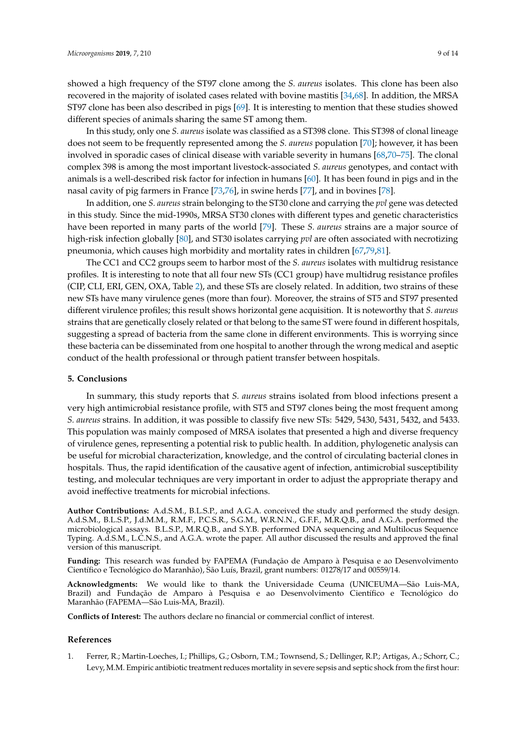showed a high frequency of the ST97 clone among the *S. aureus* isolates. This clone has been also recovered in the majority of isolated cases related with bovine mastitis [\[34](#page-10-13)[,68\]](#page-12-7). In addition, the MRSA ST97 clone has been also described in pigs [\[69\]](#page-12-8). It is interesting to mention that these studies showed different species of animals sharing the same ST among them.

In this study, only one *S. aureus* isolate was classified as a ST398 clone. This ST398 of clonal lineage does not seem to be frequently represented among the *S. aureus* population [\[70\]](#page-12-9); however, it has been involved in sporadic cases of clinical disease with variable severity in humans [\[68](#page-12-7)[,70–](#page-12-9)[75\]](#page-13-0). The clonal complex 398 is among the most important livestock-associated *S. aureus* genotypes, and contact with animals is a well-described risk factor for infection in humans [\[60\]](#page-12-10). It has been found in pigs and in the nasal cavity of pig farmers in France [\[73,](#page-12-11)[76\]](#page-13-1), in swine herds [\[77\]](#page-13-2), and in bovines [\[78\]](#page-13-3).

In addition, one *S. aureus* strain belonging to the ST30 clone and carrying the *pvl* gene was detected in this study. Since the mid-1990s, MRSA ST30 clones with different types and genetic characteristics have been reported in many parts of the world [\[79\]](#page-13-4). These *S. aureus* strains are a major source of high-risk infection globally [\[80\]](#page-13-5), and ST30 isolates carrying *pvl* are often associated with necrotizing pneumonia, which causes high morbidity and mortality rates in children [\[67](#page-12-6)[,79,](#page-13-4)[81\]](#page-13-6).

The CC1 and CC2 groups seem to harbor most of the *S. aureus* isolates with multidrug resistance profiles. It is interesting to note that all four new STs (CC1 group) have multidrug resistance profiles (CIP, CLI, ERI, GEN, OXA, Table [2\)](#page-4-0), and these STs are closely related. In addition, two strains of these new STs have many virulence genes (more than four). Moreover, the strains of ST5 and ST97 presented different virulence profiles; this result shows horizontal gene acquisition. It is noteworthy that *S. aureus* strains that are genetically closely related or that belong to the same ST were found in different hospitals, suggesting a spread of bacteria from the same clone in different environments. This is worrying since these bacteria can be disseminated from one hospital to another through the wrong medical and aseptic conduct of the health professional or through patient transfer between hospitals.

#### **5. Conclusions**

In summary, this study reports that *S. aureus* strains isolated from blood infections present a very high antimicrobial resistance profile, with ST5 and ST97 clones being the most frequent among *S. aureus* strains. In addition, it was possible to classify five new STs: 5429, 5430, 5431, 5432, and 5433. This population was mainly composed of MRSA isolates that presented a high and diverse frequency of virulence genes, representing a potential risk to public health. In addition, phylogenetic analysis can be useful for microbial characterization, knowledge, and the control of circulating bacterial clones in hospitals. Thus, the rapid identification of the causative agent of infection, antimicrobial susceptibility testing, and molecular techniques are very important in order to adjust the appropriate therapy and avoid ineffective treatments for microbial infections.

**Author Contributions:** A.d.S.M., B.L.S.P., and A.G.A. conceived the study and performed the study design. A.d.S.M., B.L.S.P., J.d.M.M., R.M.F., P.C.S.R., S.G.M., W.R.N.N., G.F.F., M.R.Q.B., and A.G.A. performed the microbiological assays. B.L.S.P., M.R.Q.B., and S.Y.B. performed DNA sequencing and Multilocus Sequence Typing. A.d.S.M., L.C.N.S., and A.G.A. wrote the paper. All author discussed the results and approved the final version of this manuscript.

**Funding:** This research was funded by FAPEMA (Fundação de Amparo à Pesquisa e ao Desenvolvimento Científico e Tecnológico do Maranhão), São Luís, Brazil, grant numbers: 01278/17 and 00559/14.

**Acknowledgments:** We would like to thank the Universidade Ceuma (UNICEUMA—São Luis-MA, Brazil) and Fundação de Amparo à Pesquisa e ao Desenvolvimento Científico e Tecnológico do Maranhão (FAPEMA—São Luis-MA, Brazil).

**Conflicts of Interest:** The authors declare no financial or commercial conflict of interest.

#### **References**

<span id="page-8-0"></span>1. Ferrer, R.; Martin-Loeches, I.; Phillips, G.; Osborn, T.M.; Townsend, S.; Dellinger, R.P.; Artigas, A.; Schorr, C.; Levy, M.M. Empiric antibiotic treatment reduces mortality in severe sepsis and septic shock from the first hour: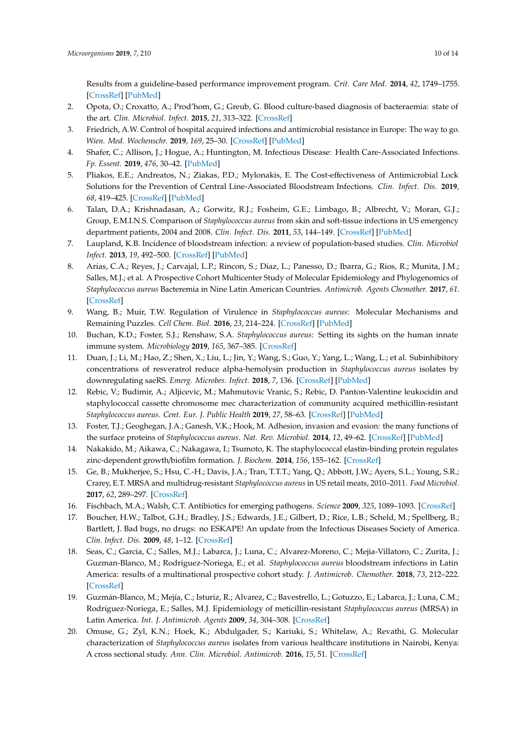Results from a guideline-based performance improvement program. *Crit. Care Med.* **2014**, *42*, 1749–1755. [\[CrossRef\]](http://dx.doi.org/10.1097/CCM.0000000000000330) [\[PubMed\]](http://www.ncbi.nlm.nih.gov/pubmed/24717459)

- 2. Opota, O.; Croxatto, A.; Prod'hom, G.; Greub, G. Blood culture-based diagnosis of bacteraemia: state of the art. *Clin. Microbiol. Infect.* **2015**, *21*, 313–322. [\[CrossRef\]](http://dx.doi.org/10.1016/j.cmi.2015.01.003)
- 3. Friedrich, A.W. Control of hospital acquired infections and antimicrobial resistance in Europe: The way to go. *Wien. Med. Wochenschr.* **2019**, *169*, 25–30. [\[CrossRef\]](http://dx.doi.org/10.1007/s10354-018-0676-5) [\[PubMed\]](http://www.ncbi.nlm.nih.gov/pubmed/30623278)
- <span id="page-9-0"></span>4. Shafer, C.; Allison, J.; Hogue, A.; Huntington, M. Infectious Disease: Health Care-Associated Infections. *Fp. Essent.* **2019**, *476*, 30–42. [\[PubMed\]](http://www.ncbi.nlm.nih.gov/pubmed/30615408)
- <span id="page-9-1"></span>5. Pliakos, E.E.; Andreatos, N.; Ziakas, P.D.; Mylonakis, E. The Cost-effectiveness of Antimicrobial Lock Solutions for the Prevention of Central Line-Associated Bloodstream Infections. *Clin. Infect. Dis.* **2019**, *68*, 419–425. [\[CrossRef\]](http://dx.doi.org/10.1093/cid/ciy511) [\[PubMed\]](http://www.ncbi.nlm.nih.gov/pubmed/29945237)
- <span id="page-9-2"></span>6. Talan, D.A.; Krishnadasan, A.; Gorwitz, R.J.; Fosheim, G.E.; Limbago, B.; Albrecht, V.; Moran, G.J.; Group, E.M.I.N.S. Comparison of *Staphylococcus aureus* from skin and soft-tissue infections in US emergency department patients, 2004 and 2008. *Clin. Infect. Dis.* **2011**, *53*, 144–149. [\[CrossRef\]](http://dx.doi.org/10.1093/cid/cir308) [\[PubMed\]](http://www.ncbi.nlm.nih.gov/pubmed/21690621)
- 7. Laupland, K.B. Incidence of bloodstream infection: a review of population-based studies. *Clin. Microbiol Infect.* **2013**, *19*, 492–500. [\[CrossRef\]](http://dx.doi.org/10.1111/1469-0691.12144) [\[PubMed\]](http://www.ncbi.nlm.nih.gov/pubmed/23398633)
- <span id="page-9-3"></span>8. Arias, C.A.; Reyes, J.; Carvajal, L.P.; Rincon, S.; Diaz, L.; Panesso, D.; Ibarra, G.; Rios, R.; Munita, J.M.; Salles, M.J.; et al. A Prospective Cohort Multicenter Study of Molecular Epidemiology and Phylogenomics of *Staphylococcus aureus* Bacteremia in Nine Latin American Countries. *Antimicrob. Agents Chemother.* **2017**, *61*. [\[CrossRef\]](http://dx.doi.org/10.1128/AAC.00816-17)
- <span id="page-9-4"></span>9. Wang, B.; Muir, T.W. Regulation of Virulence in *Staphylococcus aureus*: Molecular Mechanisms and Remaining Puzzles. *Cell Chem. Biol.* **2016**, *23*, 214–224. [\[CrossRef\]](http://dx.doi.org/10.1016/j.chembiol.2016.01.004) [\[PubMed\]](http://www.ncbi.nlm.nih.gov/pubmed/26971873)
- <span id="page-9-5"></span>10. Buchan, K.D.; Foster, S.J.; Renshaw, S.A. *Staphylococcus aureus*: Setting its sights on the human innate immune system. *Microbiology* **2019**, *165*, 367–385. [\[CrossRef\]](http://dx.doi.org/10.1099/mic.0.000759)
- <span id="page-9-6"></span>11. Duan, J.; Li, M.; Hao, Z.; Shen, X.; Liu, L.; Jin, Y.; Wang, S.; Guo, Y.; Yang, L.; Wang, L.; et al. Subinhibitory concentrations of resveratrol reduce alpha-hemolysin production in *Staphylococcus aureus* isolates by downregulating saeRS. *Emerg. Microbes. Infect.* **2018**, *7*, 136. [\[CrossRef\]](http://dx.doi.org/10.1038/s41426-018-0142-x) [\[PubMed\]](http://www.ncbi.nlm.nih.gov/pubmed/30065273)
- <span id="page-9-7"></span>12. Rebic, V.; Budimir, A.; Aljicevic, M.; Mahmutovic Vranic, S.; Rebic, D. Panton-Valentine leukocidin and staphylococcal cassette chromosome mec characterization of community acquired methicillin-resistant *Staphylococcus aureus*. *Cent. Eur. J. Public Health* **2019**, *27*, 58–63. [\[CrossRef\]](http://dx.doi.org/10.21101/cejph.a4979) [\[PubMed\]](http://www.ncbi.nlm.nih.gov/pubmed/30927399)
- <span id="page-9-8"></span>13. Foster, T.J.; Geoghegan, J.A.; Ganesh, V.K.; Hook, M. Adhesion, invasion and evasion: the many functions of the surface proteins of *Staphylococcus aureus*. *Nat. Rev. Microbiol.* **2014**, *12*, 49–62. [\[CrossRef\]](http://dx.doi.org/10.1038/nrmicro3161) [\[PubMed\]](http://www.ncbi.nlm.nih.gov/pubmed/24336184)
- <span id="page-9-9"></span>14. Nakakido, M.; Aikawa, C.; Nakagawa, I.; Tsumoto, K. The staphylococcal elastin-binding protein regulates zinc-dependent growth/biofilm formation. *J. Biochem.* **2014**, *156*, 155–162. [\[CrossRef\]](http://dx.doi.org/10.1093/jb/mvu027)
- <span id="page-9-10"></span>15. Ge, B.; Mukherjee, S.; Hsu, C.-H.; Davis, J.A.; Tran, T.T.T.; Yang, Q.; Abbott, J.W.; Ayers, S.L.; Young, S.R.; Crarey, E.T. MRSA and multidrug-resistant *Staphylococcus aureus* in US retail meats, 2010–2011. *Food Microbiol.* **2017**, *62*, 289–297. [\[CrossRef\]](http://dx.doi.org/10.1016/j.fm.2016.10.029)
- <span id="page-9-11"></span>16. Fischbach, M.A.; Walsh, C.T. Antibiotics for emerging pathogens. *Science* **2009**, *325*, 1089–1093. [\[CrossRef\]](http://dx.doi.org/10.1126/science.1176667)
- <span id="page-9-12"></span>17. Boucher, H.W.; Talbot, G.H.; Bradley, J.S.; Edwards, J.E.; Gilbert, D.; Rice, L.B.; Scheld, M.; Spellberg, B.; Bartlett, J. Bad bugs, no drugs: no ESKAPE! An update from the Infectious Diseases Society of America. *Clin. Infect. Dis.* **2009**, *48*, 1–12. [\[CrossRef\]](http://dx.doi.org/10.1086/595011)
- <span id="page-9-13"></span>18. Seas, C.; Garcia, C.; Salles, M.J.; Labarca, J.; Luna, C.; Alvarez-Moreno, C.; Mejia-Villatoro, C.; Zurita, J.; Guzman-Blanco, M.; Rodriguez-Noriega, E.; et al. *Staphylococcus aureus* bloodstream infections in Latin America: results of a multinational prospective cohort study. *J. Antimicrob. Chemother.* **2018**, *73*, 212–222. [\[CrossRef\]](http://dx.doi.org/10.1093/jac/dkx350)
- <span id="page-9-14"></span>19. Guzmán-Blanco, M.; Mejía, C.; Isturiz, R.; Alvarez, C.; Bavestrello, L.; Gotuzzo, E.; Labarca, J.; Luna, C.M.; Rodríguez-Noriega, E.; Salles, M.J. Epidemiology of meticillin-resistant *Staphylococcus aureus* (MRSA) in Latin America. *Int. J. Antimicrob. Agents* **2009**, *34*, 304–308. [\[CrossRef\]](http://dx.doi.org/10.1016/j.ijantimicag.2009.06.005)
- <span id="page-9-15"></span>20. Omuse, G.; Zyl, K.N.; Hoek, K.; Abdulgader, S.; Kariuki, S.; Whitelaw, A.; Revathi, G. Molecular characterization of *Staphylococcus aureus* isolates from various healthcare institutions in Nairobi, Kenya: A cross sectional study. *Ann. Clin. Microbiol. Antimicrob.* **2016**, *15*, 51. [\[CrossRef\]](http://dx.doi.org/10.1186/s12941-016-0171-z)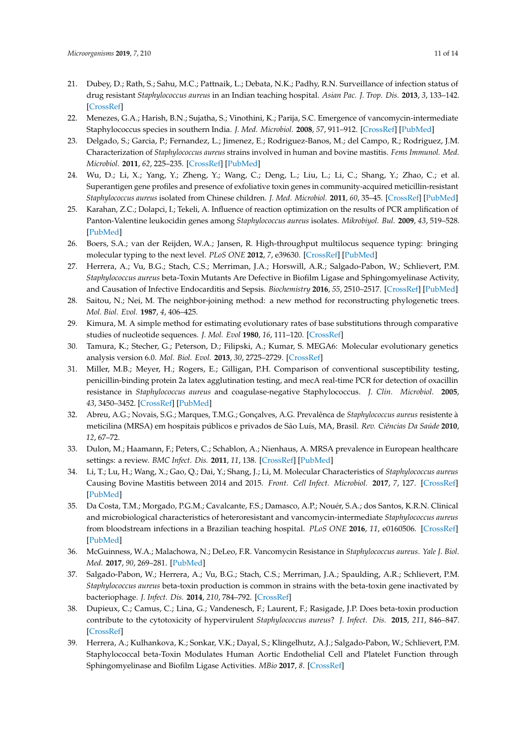- <span id="page-10-0"></span>21. Dubey, D.; Rath, S.; Sahu, M.C.; Pattnaik, L.; Debata, N.K.; Padhy, R.N. Surveillance of infection status of drug resistant *Staphylococcus aureus* in an Indian teaching hospital. *Asian Pac. J. Trop. Dis.* **2013**, *3*, 133–142. [\[CrossRef\]](http://dx.doi.org/10.1016/S2222-1808(13)60057-2)
- <span id="page-10-1"></span>22. Menezes, G.A.; Harish, B.N.; Sujatha, S.; Vinothini, K.; Parija, S.C. Emergence of vancomycin-intermediate Staphylococcus species in southern India. *J. Med. Microbiol.* **2008**, *57*, 911–912. [\[CrossRef\]](http://dx.doi.org/10.1099/jmm.0.47829-0) [\[PubMed\]](http://www.ncbi.nlm.nih.gov/pubmed/18566156)
- <span id="page-10-2"></span>23. Delgado, S.; Garcia, P.; Fernandez, L.; Jimenez, E.; Rodriguez-Banos, M.; del Campo, R.; Rodriguez, J.M. Characterization of *Staphylococcus aureus* strains involved in human and bovine mastitis. *Fems Immunol. Med. Microbiol.* **2011**, *62*, 225–235. [\[CrossRef\]](http://dx.doi.org/10.1111/j.1574-695X.2011.00806.x) [\[PubMed\]](http://www.ncbi.nlm.nih.gov/pubmed/21477005)
- <span id="page-10-3"></span>24. Wu, D.; Li, X.; Yang, Y.; Zheng, Y.; Wang, C.; Deng, L.; Liu, L.; Li, C.; Shang, Y.; Zhao, C.; et al. Superantigen gene profiles and presence of exfoliative toxin genes in community-acquired meticillin-resistant *Staphylococcus aureus* isolated from Chinese children. *J. Med. Microbiol.* **2011**, *60*, 35–45. [\[CrossRef\]](http://dx.doi.org/10.1099/jmm.0.023465-0) [\[PubMed\]](http://www.ncbi.nlm.nih.gov/pubmed/20829395)
- <span id="page-10-4"></span>25. Karahan, Z.C.; Dolapci, I.; Tekeli, A. Influence of reaction optimization on the results of PCR amplification of Panton-Valentine leukocidin genes among *Staphylococcus aureus* isolates. *Mikrobiyol. Bul.* **2009**, *43*, 519–528. [\[PubMed\]](http://www.ncbi.nlm.nih.gov/pubmed/20084904)
- <span id="page-10-5"></span>26. Boers, S.A.; van der Reijden, W.A.; Jansen, R. High-throughput multilocus sequence typing: bringing molecular typing to the next level. *PLoS ONE* **2012**, *7*, e39630. [\[CrossRef\]](http://dx.doi.org/10.1371/journal.pone.0039630) [\[PubMed\]](http://www.ncbi.nlm.nih.gov/pubmed/22815712)
- <span id="page-10-6"></span>27. Herrera, A.; Vu, B.G.; Stach, C.S.; Merriman, J.A.; Horswill, A.R.; Salgado-Pabon, W.; Schlievert, P.M. *Staphylococcus aureus* beta-Toxin Mutants Are Defective in Biofilm Ligase and Sphingomyelinase Activity, and Causation of Infective Endocarditis and Sepsis. *Biochemistry* **2016**, *55*, 2510–2517. [\[CrossRef\]](http://dx.doi.org/10.1021/acs.biochem.6b00083) [\[PubMed\]](http://www.ncbi.nlm.nih.gov/pubmed/27015018)
- <span id="page-10-7"></span>28. Saitou, N.; Nei, M. The neighbor-joining method: a new method for reconstructing phylogenetic trees. *Mol. Biol. Evol.* **1987**, *4*, 406–425.
- <span id="page-10-8"></span>29. Kimura, M. A simple method for estimating evolutionary rates of base substitutions through comparative studies of nucleotide sequences. *J. Mol. Evol* **1980**, *16*, 111–120. [\[CrossRef\]](http://dx.doi.org/10.1007/BF01731581)
- <span id="page-10-9"></span>30. Tamura, K.; Stecher, G.; Peterson, D.; Filipski, A.; Kumar, S. MEGA6: Molecular evolutionary genetics analysis version 6.0. *Mol. Biol. Evol.* **2013**, *30*, 2725–2729. [\[CrossRef\]](http://dx.doi.org/10.1093/molbev/mst197)
- <span id="page-10-10"></span>31. Miller, M.B.; Meyer, H.; Rogers, E.; Gilligan, P.H. Comparison of conventional susceptibility testing, penicillin-binding protein 2a latex agglutination testing, and mecA real-time PCR for detection of oxacillin resistance in *Staphylococcus aureus* and coagulase-negative Staphylococcus. *J. Clin. Microbiol.* **2005**, *43*, 3450–3452. [\[CrossRef\]](http://dx.doi.org/10.1128/JCM.43.7.3450-3452.2005) [\[PubMed\]](http://www.ncbi.nlm.nih.gov/pubmed/16000475)
- <span id="page-10-11"></span>32. Abreu, A.G.; Novais, S.G.; Marques, T.M.G.; Gonçalves, A.G. Prevalênca de *Staphylococcus aureus* resistente à meticilina (MRSA) em hospitais públicos e privados de São Luís, MA, Brasil. *Rev. Ciências Da Saúde* **2010**, *12*, 67–72.
- <span id="page-10-12"></span>33. Dulon, M.; Haamann, F.; Peters, C.; Schablon, A.; Nienhaus, A. MRSA prevalence in European healthcare settings: a review. *BMC Infect. Dis.* **2011**, *11*, 138. [\[CrossRef\]](http://dx.doi.org/10.1186/1471-2334-11-138) [\[PubMed\]](http://www.ncbi.nlm.nih.gov/pubmed/21599908)
- <span id="page-10-13"></span>34. Li, T.; Lu, H.; Wang, X.; Gao, Q.; Dai, Y.; Shang, J.; Li, M. Molecular Characteristics of *Staphylococcus aureus* Causing Bovine Mastitis between 2014 and 2015. *Front. Cell Infect. Microbiol.* **2017**, *7*, 127. [\[CrossRef\]](http://dx.doi.org/10.3389/fcimb.2017.00127) [\[PubMed\]](http://www.ncbi.nlm.nih.gov/pubmed/28469994)
- <span id="page-10-14"></span>35. Da Costa, T.M.; Morgado, P.G.M.; Cavalcante, F.S.; Damasco, A.P.; Nouér, S.A.; dos Santos, K.R.N. Clinical and microbiological characteristics of heteroresistant and vancomycin-intermediate *Staphylococcus aureus* from bloodstream infections in a Brazilian teaching hospital. *PLoS ONE* **2016**, *11*, e0160506. [\[CrossRef\]](http://dx.doi.org/10.1371/journal.pone.0160506) [\[PubMed\]](http://www.ncbi.nlm.nih.gov/pubmed/27575698)
- <span id="page-10-15"></span>36. McGuinness, W.A.; Malachowa, N.; DeLeo, F.R. Vancomycin Resistance in *Staphylococcus aureus*. *Yale J. Biol. Med.* **2017**, *90*, 269–281. [\[PubMed\]](http://www.ncbi.nlm.nih.gov/pubmed/28656013)
- <span id="page-10-16"></span>37. Salgado-Pabon, W.; Herrera, A.; Vu, B.G.; Stach, C.S.; Merriman, J.A.; Spaulding, A.R.; Schlievert, P.M. *Staphylococcus aureus* beta-toxin production is common in strains with the beta-toxin gene inactivated by bacteriophage. *J. Infect. Dis.* **2014**, *210*, 784–792. [\[CrossRef\]](http://dx.doi.org/10.1093/infdis/jiu146)
- 38. Dupieux, C.; Camus, C.; Lina, G.; Vandenesch, F.; Laurent, F.; Rasigade, J.P. Does beta-toxin production contribute to the cytotoxicity of hypervirulent *Staphylococcus aureus*? *J. Infect. Dis.* **2015**, *211*, 846–847. [\[CrossRef\]](http://dx.doi.org/10.1093/infdis/jiu494)
- <span id="page-10-17"></span>39. Herrera, A.; Kulhankova, K.; Sonkar, V.K.; Dayal, S.; Klingelhutz, A.J.; Salgado-Pabon, W.; Schlievert, P.M. Staphylococcal beta-Toxin Modulates Human Aortic Endothelial Cell and Platelet Function through Sphingomyelinase and Biofilm Ligase Activities. *MBio* **2017**, *8*. [\[CrossRef\]](http://dx.doi.org/10.1128/mBio.00273-17)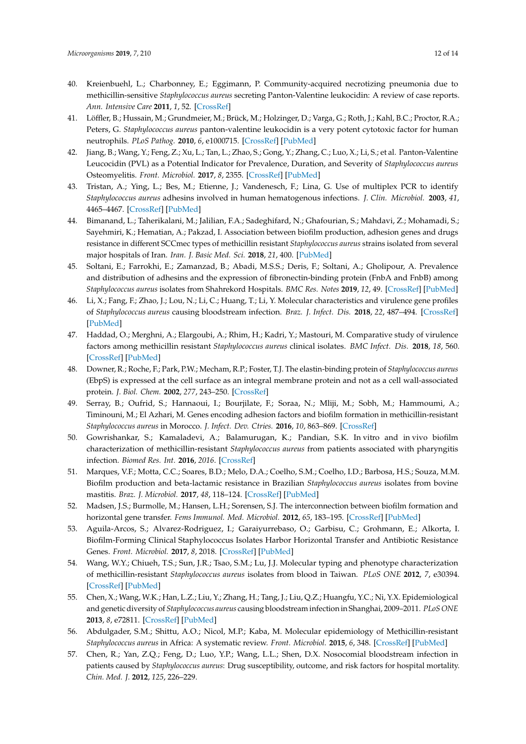- <span id="page-11-0"></span>40. Kreienbuehl, L.; Charbonney, E.; Eggimann, P. Community-acquired necrotizing pneumonia due to methicillin-sensitive *Staphylococcus aureus* secreting Panton-Valentine leukocidin: A review of case reports. *Ann. Intensive Care* **2011**, *1*, 52. [\[CrossRef\]](http://dx.doi.org/10.1186/2110-5820-1-52)
- <span id="page-11-1"></span>41. Löffler, B.; Hussain, M.; Grundmeier, M.; Brück, M.; Holzinger, D.; Varga, G.; Roth, J.; Kahl, B.C.; Proctor, R.A.; Peters, G. *Staphylococcus aureus* panton-valentine leukocidin is a very potent cytotoxic factor for human neutrophils. *PLoS Pathog.* **2010**, *6*, e1000715. [\[CrossRef\]](http://dx.doi.org/10.1371/journal.ppat.1000715) [\[PubMed\]](http://www.ncbi.nlm.nih.gov/pubmed/20072612)
- <span id="page-11-2"></span>42. Jiang, B.; Wang, Y.; Feng, Z.; Xu, L.; Tan, L.; Zhao, S.; Gong, Y.; Zhang, C.; Luo, X.; Li, S.; et al. Panton-Valentine Leucocidin (PVL) as a Potential Indicator for Prevalence, Duration, and Severity of *Staphylococcus aureus* Osteomyelitis. *Front. Microbiol.* **2017**, *8*, 2355. [\[CrossRef\]](http://dx.doi.org/10.3389/fmicb.2017.02355) [\[PubMed\]](http://www.ncbi.nlm.nih.gov/pubmed/29234317)
- <span id="page-11-3"></span>43. Tristan, A.; Ying, L.; Bes, M.; Etienne, J.; Vandenesch, F.; Lina, G. Use of multiplex PCR to identify *Staphylococcus aureus* adhesins involved in human hematogenous infections. *J. Clin. Microbiol.* **2003**, *41*, 4465–4467. [\[CrossRef\]](http://dx.doi.org/10.1128/JCM.41.9.4465-4467.2003) [\[PubMed\]](http://www.ncbi.nlm.nih.gov/pubmed/12958296)
- <span id="page-11-7"></span>44. Bimanand, L.; Taherikalani, M.; Jalilian, F.A.; Sadeghifard, N.; Ghafourian, S.; Mahdavi, Z.; Mohamadi, S.; Sayehmiri, K.; Hematian, A.; Pakzad, I. Association between biofilm production, adhesion genes and drugs resistance in different SCCmec types of methicillin resistant *Staphylococcus aureus* strains isolated from several major hospitals of Iran. *Iran. J. Basic Med. Sci.* **2018**, *21*, 400. [\[PubMed\]](http://www.ncbi.nlm.nih.gov/pubmed/29796224)
- 45. Soltani, E.; Farrokhi, E.; Zamanzad, B.; Abadi, M.S.S.; Deris, F.; Soltani, A.; Gholipour, A. Prevalence and distribution of adhesins and the expression of fibronectin-binding protein (FnbA and FnbB) among *Staphylococcus aureus* isolates from Shahrekord Hospitals. *BMC Res. Notes* **2019**, *12*, 49. [\[CrossRef\]](http://dx.doi.org/10.1186/s13104-019-4055-0) [\[PubMed\]](http://www.ncbi.nlm.nih.gov/pubmed/30670071)
- <span id="page-11-13"></span>46. Li, X.; Fang, F.; Zhao, J.; Lou, N.; Li, C.; Huang, T.; Li, Y. Molecular characteristics and virulence gene profiles of *Staphylococcus aureus* causing bloodstream infection. *Braz. J. Infect. Dis.* **2018**, *22*, 487–494. [\[CrossRef\]](http://dx.doi.org/10.1016/j.bjid.2018.12.001) [\[PubMed\]](http://www.ncbi.nlm.nih.gov/pubmed/30594541)
- <span id="page-11-4"></span>47. Haddad, O.; Merghni, A.; Elargoubi, A.; Rhim, H.; Kadri, Y.; Mastouri, M. Comparative study of virulence factors among methicillin resistant *Staphylococcus aureus* clinical isolates. *BMC Infect. Dis.* **2018**, *18*, 560. [\[CrossRef\]](http://dx.doi.org/10.1186/s12879-018-3457-2) [\[PubMed\]](http://www.ncbi.nlm.nih.gov/pubmed/30424731)
- <span id="page-11-5"></span>48. Downer, R.; Roche, F.; Park, P.W.; Mecham, R.P.; Foster, T.J. The elastin-binding protein of *Staphylococcus aureus* (EbpS) is expressed at the cell surface as an integral membrane protein and not as a cell wall-associated protein. *J. Biol. Chem.* **2002**, *277*, 243–250. [\[CrossRef\]](http://dx.doi.org/10.1074/jbc.M107621200)
- <span id="page-11-6"></span>49. Serray, B.; Oufrid, S.; Hannaoui, I.; Bourjilate, F.; Soraa, N.; Mliji, M.; Sobh, M.; Hammoumi, A.; Timinouni, M.; El Azhari, M. Genes encoding adhesion factors and biofilm formation in methicillin-resistant *Staphylococcus aureus* in Morocco. *J. Infect. Dev. Ctries.* **2016**, *10*, 863–869. [\[CrossRef\]](http://dx.doi.org/10.3855/jidc.8361)
- <span id="page-11-8"></span>50. Gowrishankar, S.; Kamaladevi, A.; Balamurugan, K.; Pandian, S.K. In vitro and in vivo biofilm characterization of methicillin-resistant *Staphylococcus aureus* from patients associated with pharyngitis infection. *Biomed Res. Int.* **2016**, *2016*. [\[CrossRef\]](http://dx.doi.org/10.1155/2016/1289157)
- 51. Marques, V.F.; Motta, C.C.; Soares, B.D.; Melo, D.A.; Coelho, S.M.; Coelho, I.D.; Barbosa, H.S.; Souza, M.M. Biofilm production and beta-lactamic resistance in Brazilian *Staphylococcus aureus* isolates from bovine mastitis. *Braz. J. Microbiol.* **2017**, *48*, 118–124. [\[CrossRef\]](http://dx.doi.org/10.1016/j.bjm.2016.10.001) [\[PubMed\]](http://www.ncbi.nlm.nih.gov/pubmed/27913076)
- 52. Madsen, J.S.; Burmolle, M.; Hansen, L.H.; Sorensen, S.J. The interconnection between biofilm formation and horizontal gene transfer. *Fems Immunol. Med. Microbiol.* **2012**, *65*, 183–195. [\[CrossRef\]](http://dx.doi.org/10.1111/j.1574-695X.2012.00960.x) [\[PubMed\]](http://www.ncbi.nlm.nih.gov/pubmed/22444301)
- <span id="page-11-9"></span>53. Aguila-Arcos, S.; Alvarez-Rodriguez, I.; Garaiyurrebaso, O.; Garbisu, C.; Grohmann, E.; Alkorta, I. Biofilm-Forming Clinical Staphylococcus Isolates Harbor Horizontal Transfer and Antibiotic Resistance Genes. *Front. Microbiol.* **2017**, *8*, 2018. [\[CrossRef\]](http://dx.doi.org/10.3389/fmicb.2017.02018) [\[PubMed\]](http://www.ncbi.nlm.nih.gov/pubmed/29085354)
- <span id="page-11-10"></span>54. Wang, W.Y.; Chiueh, T.S.; Sun, J.R.; Tsao, S.M.; Lu, J.J. Molecular typing and phenotype characterization of methicillin-resistant *Staphylococcus aureus* isolates from blood in Taiwan. *PLoS ONE* **2012**, *7*, e30394. [\[CrossRef\]](http://dx.doi.org/10.1371/journal.pone.0030394) [\[PubMed\]](http://www.ncbi.nlm.nih.gov/pubmed/22291948)
- 55. Chen, X.; Wang, W.K.; Han, L.Z.; Liu, Y.; Zhang, H.; Tang, J.; Liu, Q.Z.; Huangfu, Y.C.; Ni, Y.X. Epidemiological and genetic diversity of *Staphylococcus aureus* causing bloodstream infection in Shanghai, 2009–2011. *PLoS ONE* **2013**, *8*, e72811. [\[CrossRef\]](http://dx.doi.org/10.1371/journal.pone.0072811) [\[PubMed\]](http://www.ncbi.nlm.nih.gov/pubmed/24039803)
- <span id="page-11-11"></span>56. Abdulgader, S.M.; Shittu, A.O.; Nicol, M.P.; Kaba, M. Molecular epidemiology of Methicillin-resistant *Staphylococcus aureus* in Africa: A systematic review. *Front. Microbiol.* **2015**, *6*, 348. [\[CrossRef\]](http://dx.doi.org/10.3389/fmicb.2015.00348) [\[PubMed\]](http://www.ncbi.nlm.nih.gov/pubmed/25983721)
- <span id="page-11-12"></span>57. Chen, R.; Yan, Z.Q.; Feng, D.; Luo, Y.P.; Wang, L.L.; Shen, D.X. Nosocomial bloodstream infection in patients caused by *Staphylococcus aureus*: Drug susceptibility, outcome, and risk factors for hospital mortality. *Chin. Med. J.* **2012**, *125*, 226–229.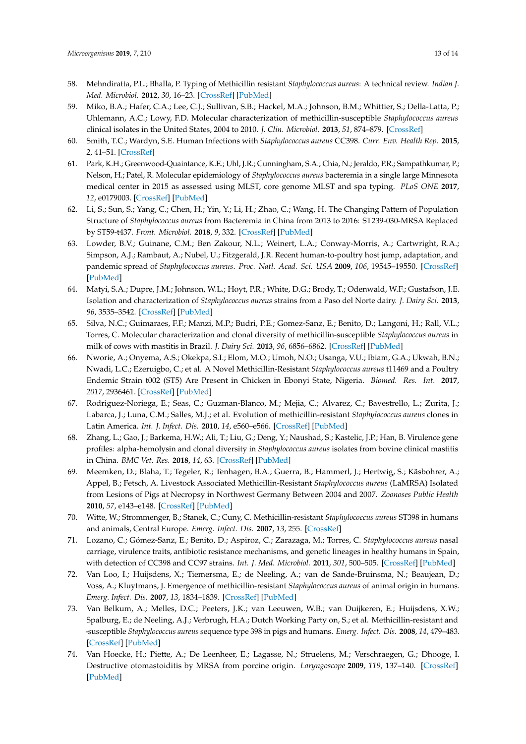- 58. Mehndiratta, P.L.; Bhalla, P. Typing of Methicillin resistant *Staphylococcus aureus*: A technical review. *Indian J. Med. Microbiol.* **2012**, *30*, 16–23. [\[CrossRef\]](http://dx.doi.org/10.4103/0255-0857.93015) [\[PubMed\]](http://www.ncbi.nlm.nih.gov/pubmed/22361755)
- 59. Miko, B.A.; Hafer, C.A.; Lee, C.J.; Sullivan, S.B.; Hackel, M.A.; Johnson, B.M.; Whittier, S.; Della-Latta, P.; Uhlemann, A.C.; Lowy, F.D. Molecular characterization of methicillin-susceptible *Staphylococcus aureus* clinical isolates in the United States, 2004 to 2010. *J. Clin. Microbiol.* **2013**, *51*, 874–879. [\[CrossRef\]](http://dx.doi.org/10.1128/JCM.00923-12)
- <span id="page-12-10"></span>60. Smith, T.C.; Wardyn, S.E. Human Infections with *Staphylococcus aureus* CC398. *Curr. Env. Health Rep.* **2015**, *2*, 41–51. [\[CrossRef\]](http://dx.doi.org/10.1007/s40572-014-0034-8)
- <span id="page-12-1"></span>61. Park, K.H.; Greenwood-Quaintance, K.E.; Uhl, J.R.; Cunningham, S.A.; Chia, N.; Jeraldo, P.R.; Sampathkumar, P.; Nelson, H.; Patel, R. Molecular epidemiology of *Staphylococcus aureus* bacteremia in a single large Minnesota medical center in 2015 as assessed using MLST, core genome MLST and spa typing. *PLoS ONE* **2017**, *12*, e0179003. [\[CrossRef\]](http://dx.doi.org/10.1371/journal.pone.0179003) [\[PubMed\]](http://www.ncbi.nlm.nih.gov/pubmed/28575112)
- <span id="page-12-0"></span>62. Li, S.; Sun, S.; Yang, C.; Chen, H.; Yin, Y.; Li, H.; Zhao, C.; Wang, H. The Changing Pattern of Population Structure of *Staphylococcus aureus* from Bacteremia in China from 2013 to 2016: ST239-030-MRSA Replaced by ST59-t437. *Front. Microbiol.* **2018**, *9*, 332. [\[CrossRef\]](http://dx.doi.org/10.3389/fmicb.2018.00332) [\[PubMed\]](http://www.ncbi.nlm.nih.gov/pubmed/29535697)
- <span id="page-12-2"></span>63. Lowder, B.V.; Guinane, C.M.; Ben Zakour, N.L.; Weinert, L.A.; Conway-Morris, A.; Cartwright, R.A.; Simpson, A.J.; Rambaut, A.; Nubel, U.; Fitzgerald, J.R. Recent human-to-poultry host jump, adaptation, and pandemic spread of *Staphylococcus aureus*. *Proc. Natl. Acad. Sci. USA* **2009**, *106*, 19545–19550. [\[CrossRef\]](http://dx.doi.org/10.1073/pnas.0909285106) [\[PubMed\]](http://www.ncbi.nlm.nih.gov/pubmed/19884497)
- <span id="page-12-3"></span>64. Matyi, S.A.; Dupre, J.M.; Johnson, W.L.; Hoyt, P.R.; White, D.G.; Brody, T.; Odenwald, W.F.; Gustafson, J.E. Isolation and characterization of *Staphylococcus aureus* strains from a Paso del Norte dairy. *J. Dairy Sci.* **2013**, *96*, 3535–3542. [\[CrossRef\]](http://dx.doi.org/10.3168/jds.2013-6590) [\[PubMed\]](http://www.ncbi.nlm.nih.gov/pubmed/23608491)
- <span id="page-12-4"></span>65. Silva, N.C.; Guimaraes, F.F.; Manzi, M.P.; Budri, P.E.; Gomez-Sanz, E.; Benito, D.; Langoni, H.; Rall, V.L.; Torres, C. Molecular characterization and clonal diversity of methicillin-susceptible *Staphylococcus aureus* in milk of cows with mastitis in Brazil. *J. Dairy Sci.* **2013**, *96*, 6856–6862. [\[CrossRef\]](http://dx.doi.org/10.3168/jds.2013-6719) [\[PubMed\]](http://www.ncbi.nlm.nih.gov/pubmed/24054305)
- <span id="page-12-5"></span>66. Nworie, A.; Onyema, A.S.; Okekpa, S.I.; Elom, M.O.; Umoh, N.O.; Usanga, V.U.; Ibiam, G.A.; Ukwah, B.N.; Nwadi, L.C.; Ezeruigbo, C.; et al. A Novel Methicillin-Resistant *Staphylococcus aureus* t11469 and a Poultry Endemic Strain t002 (ST5) Are Present in Chicken in Ebonyi State, Nigeria. *Biomed. Res. Int.* **2017**, *2017*, 2936461. [\[CrossRef\]](http://dx.doi.org/10.1155/2017/2936461) [\[PubMed\]](http://www.ncbi.nlm.nih.gov/pubmed/29349069)
- <span id="page-12-6"></span>67. Rodriguez-Noriega, E.; Seas, C.; Guzman-Blanco, M.; Mejia, C.; Alvarez, C.; Bavestrello, L.; Zurita, J.; Labarca, J.; Luna, C.M.; Salles, M.J.; et al. Evolution of methicillin-resistant *Staphylococcus aureus* clones in Latin America. *Int. J. Infect. Dis.* **2010**, *14*, e560–e566. [\[CrossRef\]](http://dx.doi.org/10.1016/j.ijid.2009.08.018) [\[PubMed\]](http://www.ncbi.nlm.nih.gov/pubmed/20047848)
- <span id="page-12-7"></span>68. Zhang, L.; Gao, J.; Barkema, H.W.; Ali, T.; Liu, G.; Deng, Y.; Naushad, S.; Kastelic, J.P.; Han, B. Virulence gene profiles: alpha-hemolysin and clonal diversity in *Staphylococcus aureus* isolates from bovine clinical mastitis in China. *BMC Vet. Res.* **2018**, *14*, 63. [\[CrossRef\]](http://dx.doi.org/10.1186/s12917-018-1374-7) [\[PubMed\]](http://www.ncbi.nlm.nih.gov/pubmed/29499697)
- <span id="page-12-8"></span>69. Meemken, D.; Blaha, T.; Tegeler, R.; Tenhagen, B.A.; Guerra, B.; Hammerl, J.; Hertwig, S.; Käsbohrer, A.; Appel, B.; Fetsch, A. Livestock Associated Methicillin-Resistant *Staphylococcus aureus* (LaMRSA) Isolated from Lesions of Pigs at Necropsy in Northwest Germany Between 2004 and 2007. *Zoonoses Public Health* **2010**, *57*, e143–e148. [\[CrossRef\]](http://dx.doi.org/10.1111/j.1863-2378.2009.01313.x) [\[PubMed\]](http://www.ncbi.nlm.nih.gov/pubmed/20042059)
- <span id="page-12-9"></span>70. Witte, W.; Strommenger, B.; Stanek, C.; Cuny, C. Methicillin-resistant *Staphylococcus aureus* ST398 in humans and animals, Central Europe. *Emerg. Infect. Dis.* **2007**, *13*, 255. [\[CrossRef\]](http://dx.doi.org/10.3201/eid1302.060924)
- 71. Lozano, C.; Gómez-Sanz, E.; Benito, D.; Aspiroz, C.; Zarazaga, M.; Torres, C. *Staphylococcus aureus* nasal carriage, virulence traits, antibiotic resistance mechanisms, and genetic lineages in healthy humans in Spain, with detection of CC398 and CC97 strains. *Int. J. Med. Microbiol.* **2011**, *301*, 500–505. [\[CrossRef\]](http://dx.doi.org/10.1016/j.ijmm.2011.02.004) [\[PubMed\]](http://www.ncbi.nlm.nih.gov/pubmed/21570348)
- 72. Van Loo, I.; Huijsdens, X.; Tiemersma, E.; de Neeling, A.; van de Sande-Bruinsma, N.; Beaujean, D.; Voss, A.; Kluytmans, J. Emergence of methicillin-resistant *Staphylococcus aureus* of animal origin in humans. *Emerg. Infect. Dis.* **2007**, *13*, 1834–1839. [\[CrossRef\]](http://dx.doi.org/10.3201/eid1312.070384) [\[PubMed\]](http://www.ncbi.nlm.nih.gov/pubmed/18258032)
- <span id="page-12-11"></span>73. Van Belkum, A.; Melles, D.C.; Peeters, J.K.; van Leeuwen, W.B.; van Duijkeren, E.; Huijsdens, X.W.; Spalburg, E.; de Neeling, A.J.; Verbrugh, H.A.; Dutch Working Party on, S.; et al. Methicillin-resistant and -susceptible *Staphylococcus aureus* sequence type 398 in pigs and humans. *Emerg. Infect. Dis.* **2008**, *14*, 479–483. [\[CrossRef\]](http://dx.doi.org/10.3201/eid1403.070760) [\[PubMed\]](http://www.ncbi.nlm.nih.gov/pubmed/18325267)
- 74. Van Hoecke, H.; Piette, A.; De Leenheer, E.; Lagasse, N.; Struelens, M.; Verschraegen, G.; Dhooge, I. Destructive otomastoiditis by MRSA from porcine origin. *Laryngoscope* **2009**, *119*, 137–140. [\[CrossRef\]](http://dx.doi.org/10.1002/lary.20030) [\[PubMed\]](http://www.ncbi.nlm.nih.gov/pubmed/19117307)